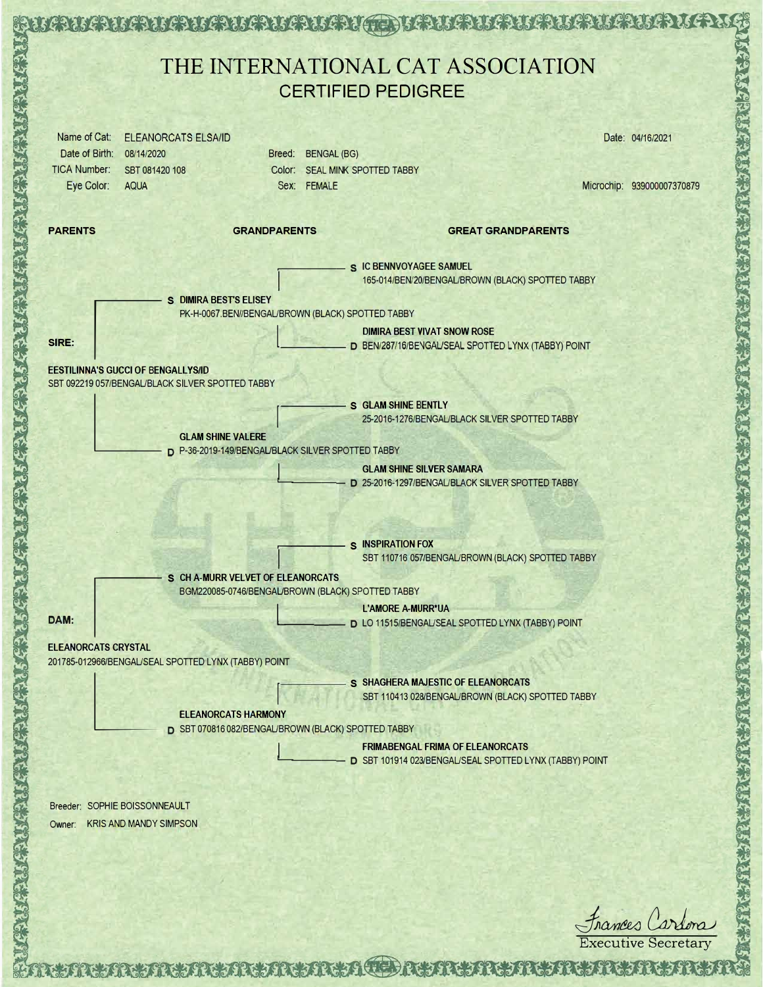

RUARUMARUNUA ARUA A CORUM MURARUMARUM ARUA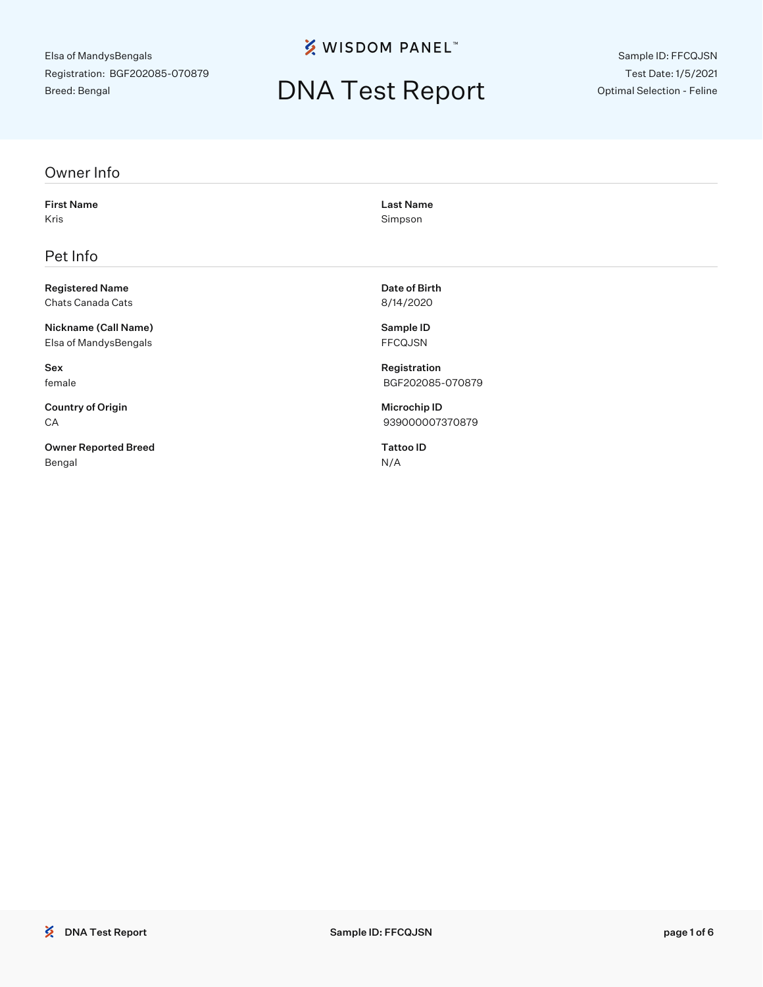**% WISDOM PANEL**™

## DNA Test Report

Sample ID: FFCQJSN Test Date: 1/5/2021 Optimal Selection - Feline

#### Owner Info

First Name Last Name Kris Simpson

### Pet Info

Registered Name **Date of Birth** Chats Canada Cats **8/14/2020** 

Nickname (Call Name) Sample ID Elsa of MandysBengals FFCQJSN

Country of Origin **Microchip ID** 

Owner Reported Breed Tattoo ID Bengal N/A and the second state of the second state  $N/A$ 

Sex Registration female BGF202085-070879

CA 939000007370879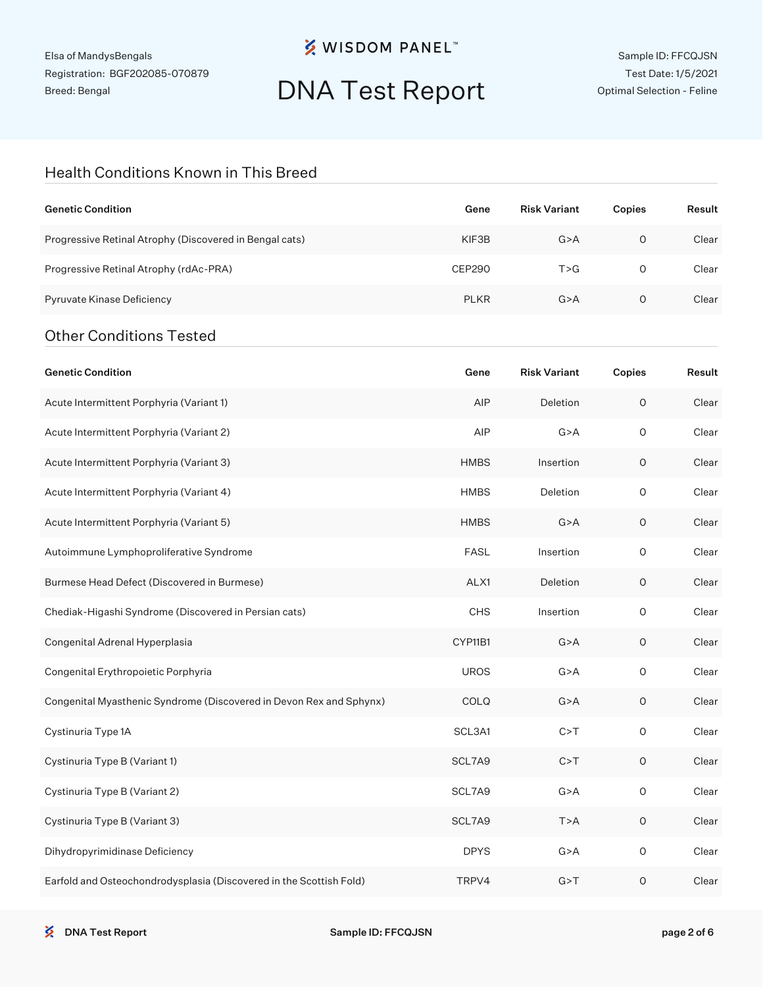## **※ WISDOM PANEL**™

# DNA Test Report

### Health Conditions Known in This Breed

| <b>Genetic Condition</b>                                            | Gene          | <b>Risk Variant</b> | Copies      | Result |
|---------------------------------------------------------------------|---------------|---------------------|-------------|--------|
| Progressive Retinal Atrophy (Discovered in Bengal cats)             | KIF3B         | G > A               | $\circ$     | Clear  |
| Progressive Retinal Atrophy (rdAc-PRA)                              | <b>CEP290</b> | T > G               | 0           | Clear  |
| Pyruvate Kinase Deficiency                                          | <b>PLKR</b>   | G > A               | 0           | Clear  |
| <b>Other Conditions Tested</b>                                      |               |                     |             |        |
| <b>Genetic Condition</b>                                            | Gene          | <b>Risk Variant</b> | Copies      | Result |
| Acute Intermittent Porphyria (Variant 1)                            | AIP           | Deletion            | $\mathsf O$ | Clear  |
| Acute Intermittent Porphyria (Variant 2)                            | AIP           | G > A               | $\circ$     | Clear  |
| Acute Intermittent Porphyria (Variant 3)                            | <b>HMBS</b>   | Insertion           | $\circ$     | Clear  |
| Acute Intermittent Porphyria (Variant 4)                            | <b>HMBS</b>   | Deletion            | 0           | Clear  |
| Acute Intermittent Porphyria (Variant 5)                            | <b>HMBS</b>   | G > A               | $\circ$     | Clear  |
| Autoimmune Lymphoproliferative Syndrome                             | <b>FASL</b>   | Insertion           | $\circ$     | Clear  |
| Burmese Head Defect (Discovered in Burmese)                         | ALX1          | Deletion            | $\circ$     | Clear  |
| Chediak-Higashi Syndrome (Discovered in Persian cats)               | CHS           | Insertion           | 0           | Clear  |
| Congenital Adrenal Hyperplasia                                      | CYP11B1       | G > A               | $\circ$     | Clear  |
| Congenital Erythropoietic Porphyria                                 | <b>UROS</b>   | G > A               | 0           | Clear  |
| Congenital Myasthenic Syndrome (Discovered in Devon Rex and Sphynx) | COLQ          | G > A               | $\circ$     | Clear  |
| Cystinuria Type 1A                                                  | SCL3A1        | C > T               | $\circ$     | Clear  |
| Cystinuria Type B (Variant 1)                                       | SCL7A9        | C > T               | $\circ$     | Clear  |
| Cystinuria Type B (Variant 2)                                       | SCL7A9        | G > A               | $\mathsf O$ | Clear  |
| Cystinuria Type B (Variant 3)                                       | SCL7A9        | T>A                 | $\mathsf O$ | Clear  |
| Dihydropyrimidinase Deficiency                                      | <b>DPYS</b>   | G > A               | $\mathsf O$ | Clear  |
| Earfold and Osteochondrodysplasia (Discovered in the Scottish Fold) | TRPV4         | G > T               | $\mathsf O$ | Clear  |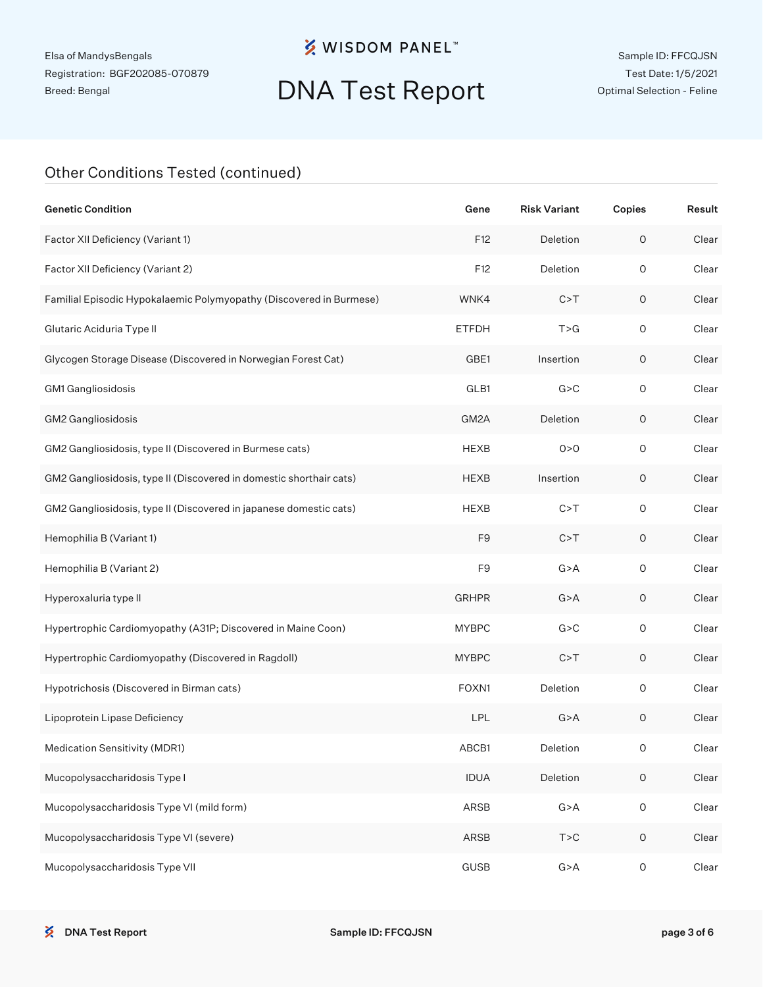## **※ WISDOM PANEL**™

# DNA Test Report

### Other Conditions Tested (continued)

| <b>Genetic Condition</b>                                            | Gene           | <b>Risk Variant</b> | Copies              | Result |
|---------------------------------------------------------------------|----------------|---------------------|---------------------|--------|
| Factor XII Deficiency (Variant 1)                                   | F12            | Deletion            | $\mathsf O$         | Clear  |
| Factor XII Deficiency (Variant 2)                                   | F12            | Deletion            | $\circ$             | Clear  |
| Familial Episodic Hypokalaemic Polymyopathy (Discovered in Burmese) | WNK4           | C > T               | $\mathsf O$         | Clear  |
| Glutaric Aciduria Type II                                           | <b>ETFDH</b>   | T > G               | $\circ$             | Clear  |
| Glycogen Storage Disease (Discovered in Norwegian Forest Cat)       | GBE1           | Insertion           | 0                   | Clear  |
| GM1 Gangliosidosis                                                  | GLB1           | G > C               | $\circ$             | Clear  |
| GM2 Gangliosidosis                                                  | GM2A           | Deletion            | 0                   | Clear  |
| GM2 Gangliosidosis, type II (Discovered in Burmese cats)            | <b>HEXB</b>    | 0 > 0               | $\circ$             | Clear  |
| GM2 Gangliosidosis, type II (Discovered in domestic shorthair cats) | <b>HEXB</b>    | Insertion           | 0                   | Clear  |
| GM2 Gangliosidosis, type II (Discovered in japanese domestic cats)  | <b>HEXB</b>    | C > T               | $\circ$             | Clear  |
| Hemophilia B (Variant 1)                                            | F <sub>9</sub> | C > T               | $\mathsf O$         | Clear  |
| Hemophilia B (Variant 2)                                            | F <sub>9</sub> | G > A               | $\circ$             | Clear  |
| Hyperoxaluria type II                                               | <b>GRHPR</b>   | G > A               | 0                   | Clear  |
| Hypertrophic Cardiomyopathy (A31P; Discovered in Maine Coon)        | <b>MYBPC</b>   | G > C               | $\circ$             | Clear  |
| Hypertrophic Cardiomyopathy (Discovered in Ragdoll)                 | <b>MYBPC</b>   | C > T               | $\mathsf O$         | Clear  |
| Hypotrichosis (Discovered in Birman cats)                           | FOXN1          | Deletion            | $\circ$             | Clear  |
| Lipoprotein Lipase Deficiency                                       | <b>LPL</b>     | G > A               | $\mathsf O$         | Clear  |
| Medication Sensitivity (MDR1)                                       | ABCB1          | Deletion            | 0                   | Clear  |
| Mucopolysaccharidosis Type I                                        | <b>IDUA</b>    | Deletion            | $\mathsf O$         | Clear  |
| Mucopolysaccharidosis Type VI (mild form)                           | ARSB           | G > A               | $\mathsf{O}\xspace$ | Clear  |
| Mucopolysaccharidosis Type VI (severe)                              | ARSB           | $T>C$               | $\mathsf O$         | Clear  |
| Mucopolysaccharidosis Type VII                                      | <b>GUSB</b>    | G > A               | $\mathsf O$         | Clear  |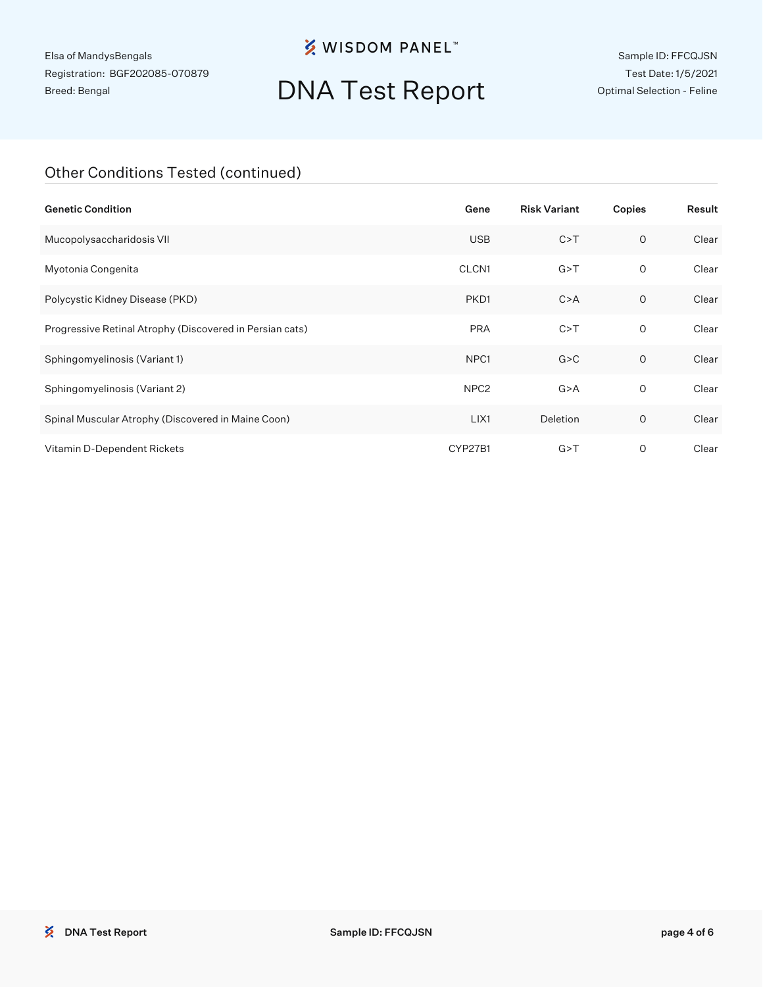## **※ WISDOM PANEL**™

# DNA Test Report

Sample ID: FFCQJSN Test Date: 1/5/2021 Optimal Selection - Feline

### Other Conditions Tested (continued)

| <b>Genetic Condition</b>                                 | Gene              | <b>Risk Variant</b> | Copies       | Result |
|----------------------------------------------------------|-------------------|---------------------|--------------|--------|
| Mucopolysaccharidosis VII                                | <b>USB</b>        | C > T               | $\circ$      | Clear  |
| Myotonia Congenita                                       | CLCN <sub>1</sub> | G > T               | O            | Clear  |
| Polycystic Kidney Disease (PKD)                          | PKD <sub>1</sub>  | C > A               | 0            | Clear  |
| Progressive Retinal Atrophy (Discovered in Persian cats) | <b>PRA</b>        | C > T               | $\mathsf{O}$ | Clear  |
| Sphingomyelinosis (Variant 1)                            | NPC <sub>1</sub>  | G > C               | $\circ$      | Clear  |
| Sphingomyelinosis (Variant 2)                            | NPC <sub>2</sub>  | G > A               | 0            | Clear  |
| Spinal Muscular Atrophy (Discovered in Maine Coon)       | LIX1              | Deletion            | O            | Clear  |
| Vitamin D-Dependent Rickets                              | CYP27B1           | G > T               | O            | Clear  |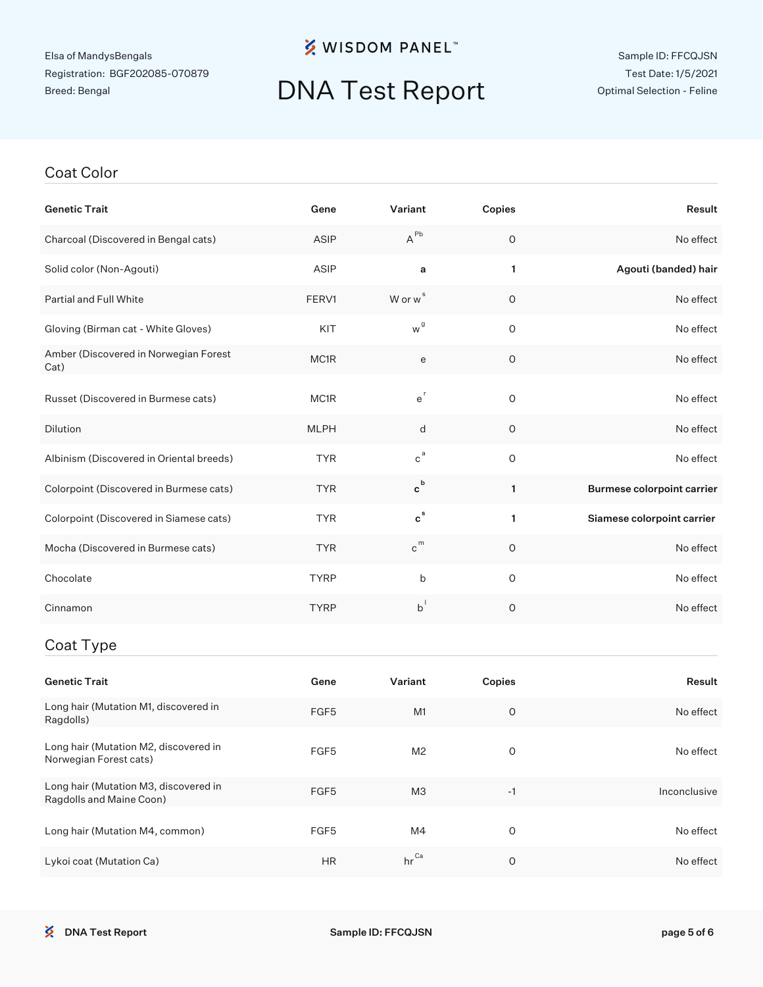## **※ WISDOM PANEL**™

# DNA Test Report

#### Sample ID: FFCQJSN Test Date: 1/5/2021 Optimal Selection - Feline

#### Coat Color

| <b>Genetic Trait</b>                          | Gene        | Variant                        | Copies       | Result                            |
|-----------------------------------------------|-------------|--------------------------------|--------------|-----------------------------------|
| Charcoal (Discovered in Bengal cats)          | <b>ASIP</b> | $A^{\text{Pb}}$                | $\mathsf O$  | No effect                         |
| Solid color (Non-Agouti)                      | ASIP        | a                              | $\mathbf{1}$ | Agouti (banded) hair              |
| Partial and Full White                        | FERV1       | W or w <sup>s</sup>            | 0            | No effect                         |
| Gloving (Birman cat - White Gloves)           | KIT         | w <sup>g</sup>                 | $\mathbf 0$  | No effect                         |
| Amber (Discovered in Norwegian Forest<br>Cat) | MC1R        | e                              | $\circ$      | No effect                         |
| Russet (Discovered in Burmese cats)           | MC1R        | $e^r$                          | O            | No effect                         |
| <b>Dilution</b>                               | <b>MLPH</b> | d                              | $\circ$      | No effect                         |
| Albinism (Discovered in Oriental breeds)      | <b>TYR</b>  | $c^a$                          | $\circ$      | No effect                         |
| Colorpoint (Discovered in Burmese cats)       | <b>TYR</b>  | $\mathbf{c}^{\,\mathsf{b}}$    | 1            | <b>Burmese colorpoint carrier</b> |
| Colorpoint (Discovered in Siamese cats)       | <b>TYR</b>  | $\mathbf{c}^{\,\mathrm{s}}$    | 1            | Siamese colorpoint carrier        |
| Mocha (Discovered in Burmese cats)            | <b>TYR</b>  | $\hbox{c}^{\hbox{\tiny\rm m}}$ | $\mathsf O$  | No effect                         |
| Chocolate                                     | <b>TYRP</b> | b                              | 0            | No effect                         |
| Cinnamon                                      | <b>TYRP</b> | $b^{\dagger}$                  | $\mathsf O$  | No effect                         |
| Coat Type                                     |             |                                |              |                                   |

| <b>Genetic Trait</b>                                              | Gene             | Variant          | Copies  | Result       |
|-------------------------------------------------------------------|------------------|------------------|---------|--------------|
| Long hair (Mutation M1, discovered in<br>Ragdolls)                | FGF <sub>5</sub> | M1               | $\circ$ | No effect    |
| Long hair (Mutation M2, discovered in<br>Norwegian Forest cats)   | FGF <sub>5</sub> | M <sub>2</sub>   | O       | No effect    |
| Long hair (Mutation M3, discovered in<br>Ragdolls and Maine Coon) | FGF <sub>5</sub> | MЗ               | -1      | Inconclusive |
| Long hair (Mutation M4, common)                                   | FGF <sub>5</sub> | M4               | O       | No effect    |
| Lykoi coat (Mutation Ca)                                          | <b>HR</b>        | $hr^{\text{Ca}}$ | $\circ$ | No effect    |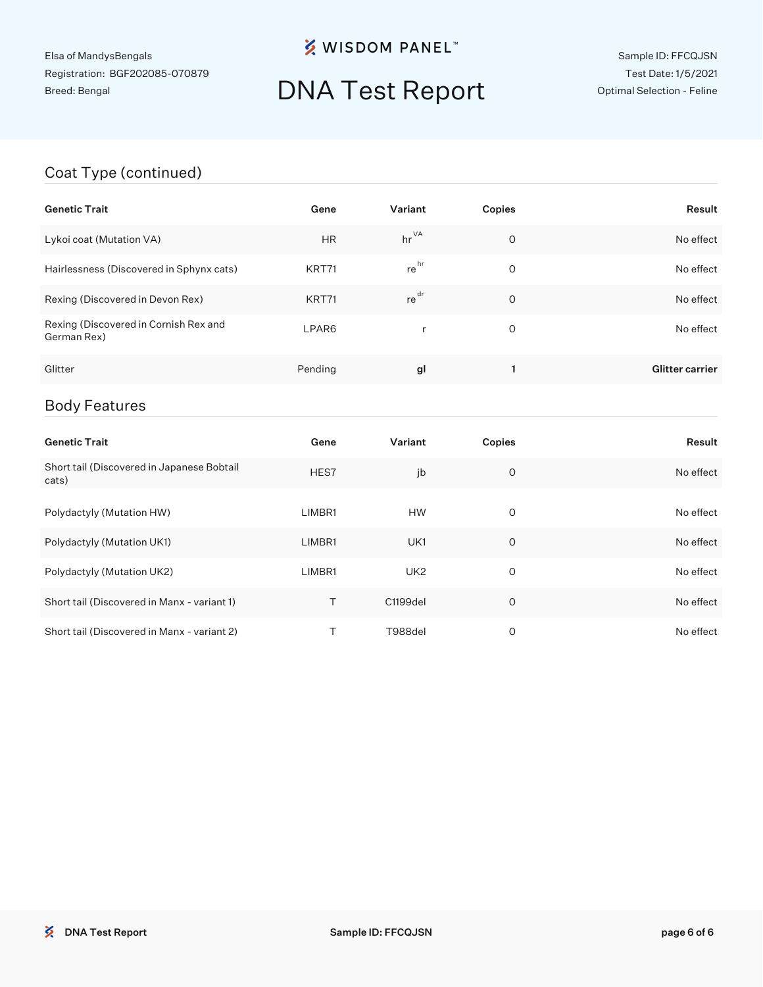## **※ WISDOM PANEL**™

# DNA Test Report

Sample ID: FFCQJSN Test Date: 1/5/2021 Optimal Selection - Feline

### Coat Type (continued)

| <b>Genetic Trait</b>                                 | Gene    | Variant                     | Copies      | Result                 |
|------------------------------------------------------|---------|-----------------------------|-------------|------------------------|
| Lykoi coat (Mutation VA)                             | HR      | $hr^{\vee A}$               | $\circ$     | No effect              |
| Hairlessness (Discovered in Sphynx cats)             | KRT71   | $\mathsf{re}^{\mathsf{hr}}$ | $\circ$     | No effect              |
| Rexing (Discovered in Devon Rex)                     | KRT71   | $re^{dr}$                   | $\mathsf O$ | No effect              |
| Rexing (Discovered in Cornish Rex and<br>German Rex) | LPAR6   | $\mathsf{r}$                | $\circ$     | No effect              |
| Glitter                                              | Pending | gl                          | 1           | <b>Glitter carrier</b> |
| <b>Body Features</b>                                 |         |                             |             |                        |
|                                                      |         |                             |             |                        |
| <b>Genetic Trait</b>                                 | Gene    | Variant                     | Copies      | Result                 |
| Short tail (Discovered in Japanese Bobtail<br>cats)  | HES7    | jb                          | 0           | No effect              |
| Polydactyly (Mutation HW)                            | LIMBR1  | <b>HW</b>                   | $\circ$     | No effect              |
| Polydactyly (Mutation UK1)                           | LIMBR1  | UK1                         | $\mathsf O$ | No effect              |
| Polydactyly (Mutation UK2)                           | LIMBR1  | UK <sub>2</sub>             | $\circ$     | No effect              |
| Short tail (Discovered in Manx - variant 1)          | $\top$  | C1199del                    | $\mathsf O$ | No effect              |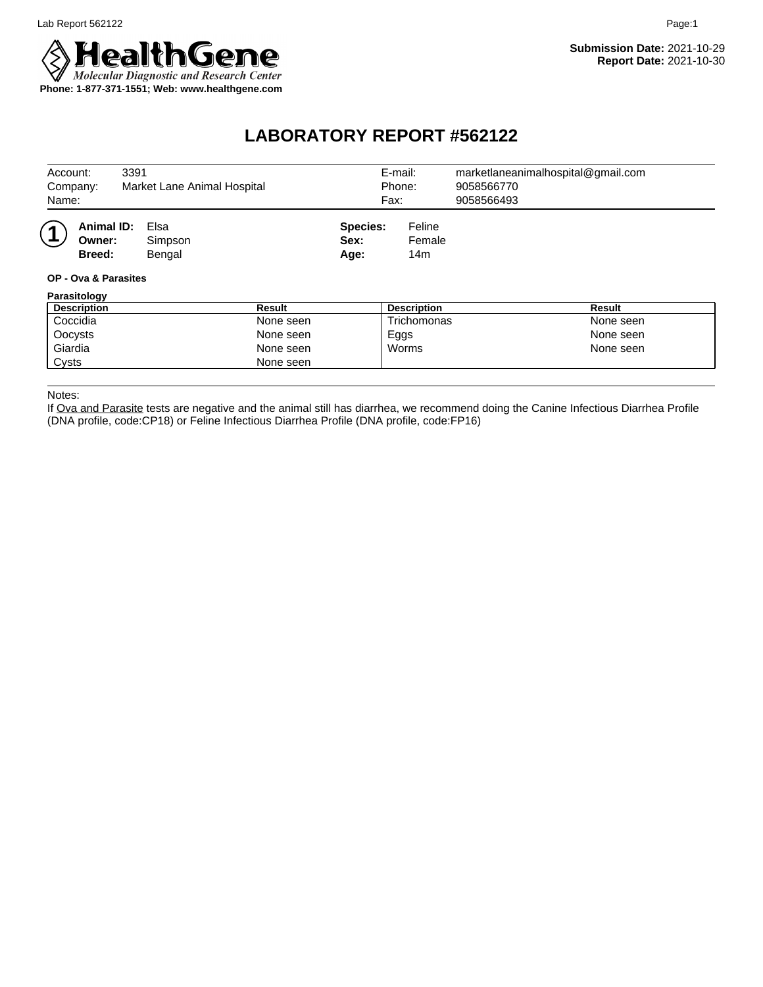

## **LABORATORY REPORT #562122**

| Account:<br>Company:<br>Name:                                                            | 3391 | Market Lane Animal Hospital |           |                          | E-mail:<br>Phone:<br>Fax: | marketlaneanimalhospital@gmail.com<br>9058566770<br>9058566493 |           |
|------------------------------------------------------------------------------------------|------|-----------------------------|-----------|--------------------------|---------------------------|----------------------------------------------------------------|-----------|
| Animal ID:<br>Owner:<br><b>Breed:</b><br><b>OP - Ova &amp; Parasites</b><br>Parasitology |      | Elsa<br>Simpson<br>Bengal   |           | Species:<br>Sex:<br>Age: | Feline<br>Female<br>14m   |                                                                |           |
| <b>Description</b>                                                                       |      |                             | Result    |                          | <b>Description</b>        |                                                                | Result    |
| Coccidia                                                                                 |      |                             | None seen |                          | Trichomonas               |                                                                | None seen |
| Oocysts                                                                                  |      |                             | None seen |                          | Eggs                      |                                                                | None seen |
| Giardia                                                                                  |      |                             | None seen |                          | Worms                     |                                                                | None seen |
| Cysts                                                                                    |      |                             | None seen |                          |                           |                                                                |           |

Notes:

If Ova and Parasite tests are negative and the animal still has diarrhea, we recommend doing the Canine Infectious Diarrhea Profile (DNA profile, code:CP18) or Feline Infectious Diarrhea Profile (DNA profile, code:FP16)